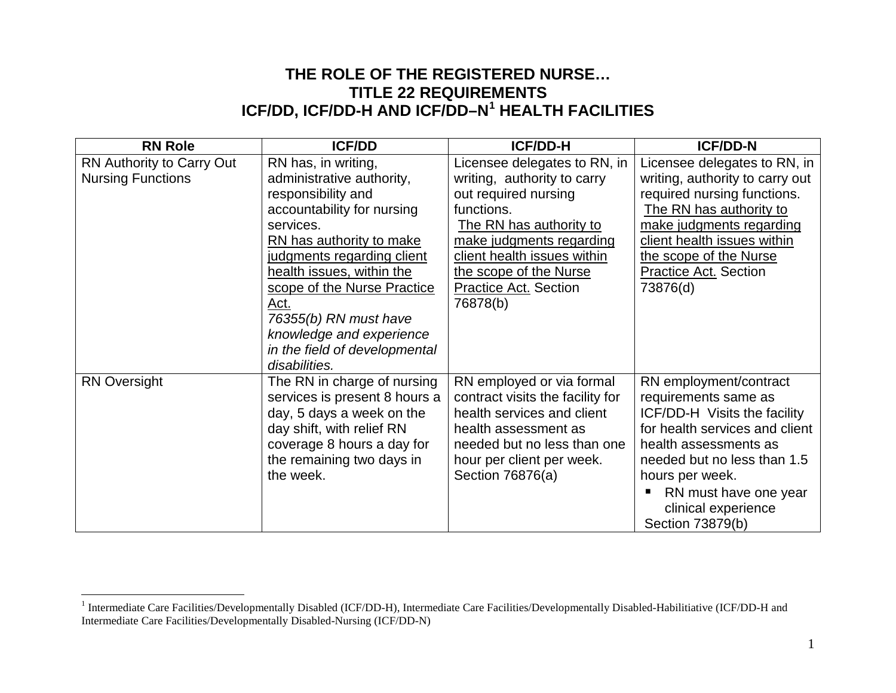## <span id="page-0-0"></span>**THE ROLE OF THE REGISTERED NURSE… TITLE 22 REQUIREMENTS ICF/DD, ICF/DD-H AND ICF/DD–N[1](#page-0-0) HEALTH FACILITIES**

| <b>RN Role</b>            | <b>ICF/DD</b>                 | <b>ICF/DD-H</b>                  | <b>ICF/DD-N</b>                 |
|---------------------------|-------------------------------|----------------------------------|---------------------------------|
| RN Authority to Carry Out | RN has, in writing,           | Licensee delegates to RN, in     | Licensee delegates to RN, in    |
| <b>Nursing Functions</b>  | administrative authority,     | writing, authority to carry      | writing, authority to carry out |
|                           | responsibility and            | out required nursing             | required nursing functions.     |
|                           | accountability for nursing    | functions.                       | The RN has authority to         |
|                           | services.                     | The RN has authority to          | make judgments regarding        |
|                           | RN has authority to make      | make judgments regarding         | client health issues within     |
|                           | judgments regarding client    | client health issues within      | the scope of the Nurse          |
|                           | health issues, within the     | the scope of the Nurse           | <b>Practice Act. Section</b>    |
|                           | scope of the Nurse Practice   | <b>Practice Act. Section</b>     | 73876(d)                        |
|                           | Act.                          | 76878(b)                         |                                 |
|                           | 76355(b) RN must have         |                                  |                                 |
|                           | knowledge and experience      |                                  |                                 |
|                           | in the field of developmental |                                  |                                 |
|                           | disabilities.                 |                                  |                                 |
| <b>RN Oversight</b>       | The RN in charge of nursing   | RN employed or via formal        | RN employment/contract          |
|                           | services is present 8 hours a | contract visits the facility for | requirements same as            |
|                           | day, 5 days a week on the     | health services and client       | ICF/DD-H Visits the facility    |
|                           | day shift, with relief RN     | health assessment as             | for health services and client  |
|                           | coverage 8 hours a day for    | needed but no less than one      | health assessments as           |
|                           | the remaining two days in     | hour per client per week.        | needed but no less than 1.5     |
|                           | the week.                     | Section 76876(a)                 | hours per week.                 |
|                           |                               |                                  | RN must have one year           |
|                           |                               |                                  | clinical experience             |
|                           |                               |                                  | Section 73879(b)                |

 $\overline{a}$ 

<sup>&</sup>lt;sup>1</sup> Intermediate Care Facilities/Developmentally Disabled (ICF/DD-H), Intermediate Care Facilities/Developmentally Disabled-Habilitiative (ICF/DD-H and Intermediate Care Facilities/Developmentally Disabled-Nursing (ICF/DD-N)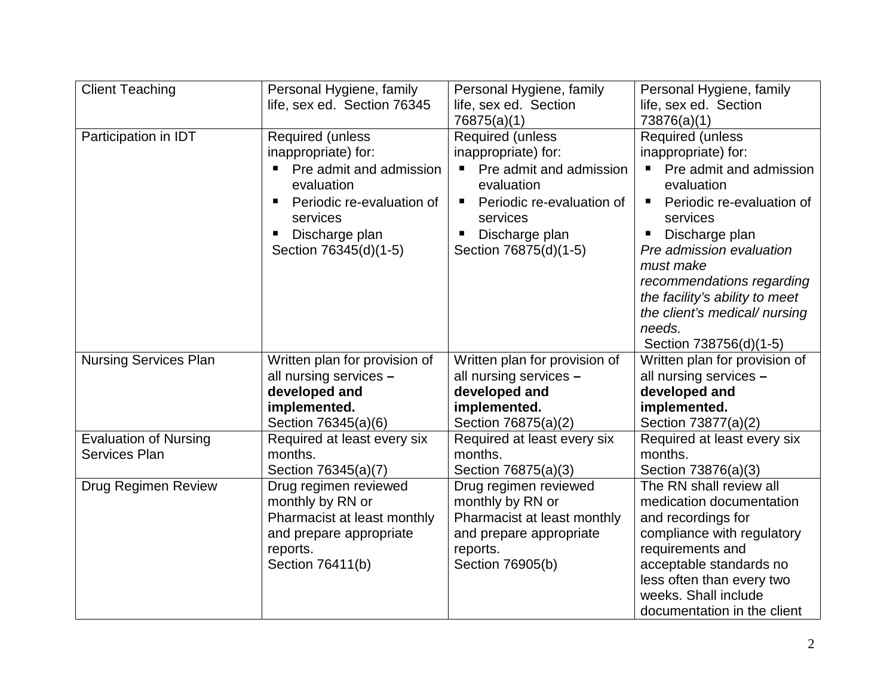| <b>Client Teaching</b>       | Personal Hygiene, family              | Personal Hygiene, family              | Personal Hygiene, family                   |
|------------------------------|---------------------------------------|---------------------------------------|--------------------------------------------|
|                              | life, sex ed. Section 76345           | life, sex ed. Section                 | life, sex ed. Section                      |
|                              |                                       | 76875(a)(1)                           | 73876(a)(1)                                |
| Participation in IDT         | Required (unless                      | Required (unless                      | Required (unless                           |
|                              | inappropriate) for:                   | inappropriate) for:                   | inappropriate) for:                        |
|                              | Pre admit and admission<br>evaluation | Pre admit and admission<br>evaluation | Pre admit and admission<br>evaluation      |
|                              | Periodic re-evaluation of<br>services | Periodic re-evaluation of<br>services | Periodic re-evaluation of<br>Е<br>services |
|                              | Discharge plan                        | Discharge plan                        | Discharge plan                             |
|                              | Section 76345(d)(1-5)                 | Section 76875(d)(1-5)                 | Pre admission evaluation                   |
|                              |                                       |                                       | must make                                  |
|                              |                                       |                                       | recommendations regarding                  |
|                              |                                       |                                       | the facility's ability to meet             |
|                              |                                       |                                       | the client's medical/nursing               |
|                              |                                       |                                       | needs.                                     |
|                              |                                       |                                       | Section 738756(d)(1-5)                     |
| <b>Nursing Services Plan</b> | Written plan for provision of         | Written plan for provision of         | Written plan for provision of              |
|                              | all nursing services -                | all nursing services -                | all nursing services -                     |
|                              | developed and                         | developed and                         | developed and                              |
|                              | implemented.                          | implemented.                          | implemented.                               |
|                              | Section 76345(a)(6)                   | Section 76875(a)(2)                   | Section 73877(a)(2)                        |
| <b>Evaluation of Nursing</b> | Required at least every six           | Required at least every six           | Required at least every six                |
| <b>Services Plan</b>         | months.                               | months.                               | months.                                    |
|                              | Section 76345(a)(7)                   | Section 76875(a)(3)                   | Section 73876(a)(3)                        |
| Drug Regimen Review          | Drug regimen reviewed                 | Drug regimen reviewed                 | The RN shall review all                    |
|                              | monthly by RN or                      | monthly by RN or                      | medication documentation                   |
|                              | Pharmacist at least monthly           | Pharmacist at least monthly           | and recordings for                         |
|                              | and prepare appropriate               | and prepare appropriate               | compliance with regulatory                 |
|                              | reports.                              | reports.                              | requirements and                           |
|                              | Section 76411(b)                      | Section 76905(b)                      | acceptable standards no                    |
|                              |                                       |                                       | less often than every two                  |
|                              |                                       |                                       | weeks. Shall include                       |
|                              |                                       |                                       | documentation in the client                |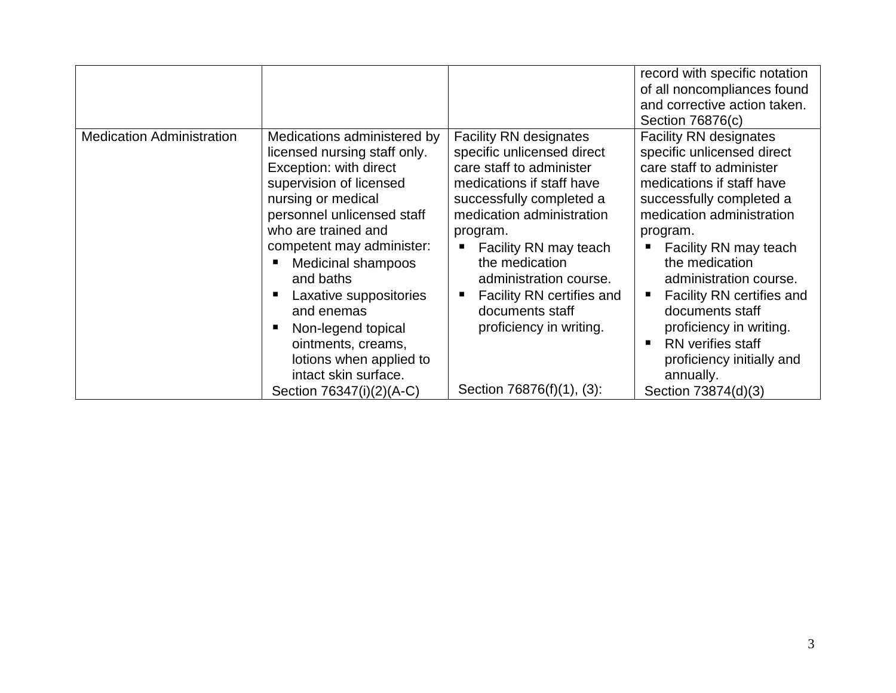|                                  |                                                                                                                                                                                                                                                                                                                                                                                                                                       |                                                                                                                                                                                                                                                                                                                                                                        | record with specific notation<br>of all noncompliances found<br>and corrective action taken.<br>Section 76876(c)                                                                                                                                                                                                                                                                                                                |
|----------------------------------|---------------------------------------------------------------------------------------------------------------------------------------------------------------------------------------------------------------------------------------------------------------------------------------------------------------------------------------------------------------------------------------------------------------------------------------|------------------------------------------------------------------------------------------------------------------------------------------------------------------------------------------------------------------------------------------------------------------------------------------------------------------------------------------------------------------------|---------------------------------------------------------------------------------------------------------------------------------------------------------------------------------------------------------------------------------------------------------------------------------------------------------------------------------------------------------------------------------------------------------------------------------|
| <b>Medication Administration</b> | Medications administered by<br>licensed nursing staff only.<br>Exception: with direct<br>supervision of licensed<br>nursing or medical<br>personnel unlicensed staff<br>who are trained and<br>competent may administer:<br><b>Medicinal shampoos</b><br>and baths<br>Laxative suppositories<br>and enemas<br>Non-legend topical<br>ointments, creams,<br>lotions when applied to<br>intact skin surface.<br>Section 76347(i)(2)(A-C) | <b>Facility RN designates</b><br>specific unlicensed direct<br>care staff to administer<br>medications if staff have<br>successfully completed a<br>medication administration<br>program.<br>Facility RN may teach<br>the medication<br>administration course.<br>Facility RN certifies and<br>documents staff<br>proficiency in writing.<br>Section 76876(f)(1), (3): | <b>Facility RN designates</b><br>specific unlicensed direct<br>care staff to administer<br>medications if staff have<br>successfully completed a<br>medication administration<br>program.<br>Facility RN may teach<br>the medication<br>administration course.<br>Facility RN certifies and<br>documents staff<br>proficiency in writing.<br>RN verifies staff<br>proficiency initially and<br>annually.<br>Section 73874(d)(3) |